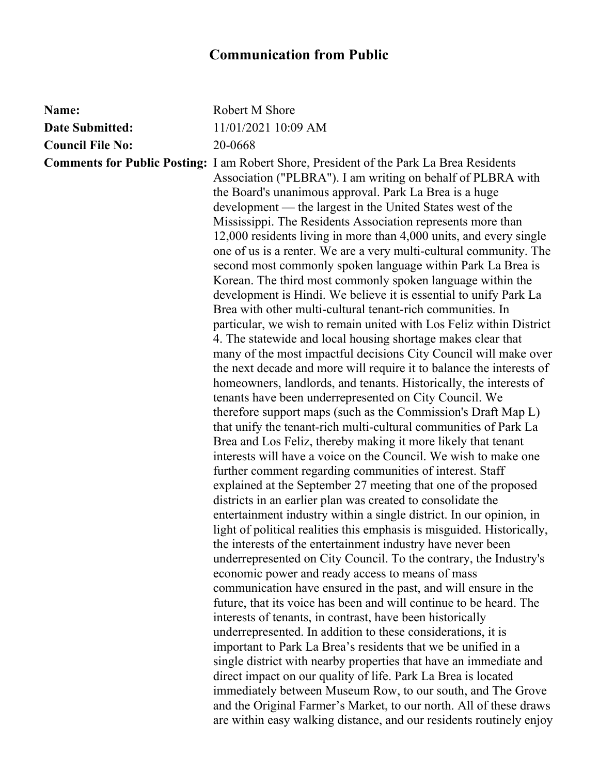## **Communication from Public**

| Name:                   | Robert M Shore                                                                                                                                                                                                                                                                                                                                                                                                                                                                                                                                                                                                                                                                                                                                                                                                                                                                                                                                                                                                                                                                                                                                                                                                                                                                                                                                                                                                                                                                                                                                                                                                                                                                                                                                                                                                                                                                                                                                                                                                                                                                                                                                                                                                                                                                                                                                                                                                                                                          |
|-------------------------|-------------------------------------------------------------------------------------------------------------------------------------------------------------------------------------------------------------------------------------------------------------------------------------------------------------------------------------------------------------------------------------------------------------------------------------------------------------------------------------------------------------------------------------------------------------------------------------------------------------------------------------------------------------------------------------------------------------------------------------------------------------------------------------------------------------------------------------------------------------------------------------------------------------------------------------------------------------------------------------------------------------------------------------------------------------------------------------------------------------------------------------------------------------------------------------------------------------------------------------------------------------------------------------------------------------------------------------------------------------------------------------------------------------------------------------------------------------------------------------------------------------------------------------------------------------------------------------------------------------------------------------------------------------------------------------------------------------------------------------------------------------------------------------------------------------------------------------------------------------------------------------------------------------------------------------------------------------------------------------------------------------------------------------------------------------------------------------------------------------------------------------------------------------------------------------------------------------------------------------------------------------------------------------------------------------------------------------------------------------------------------------------------------------------------------------------------------------------------|
| <b>Date Submitted:</b>  | 11/01/2021 10:09 AM                                                                                                                                                                                                                                                                                                                                                                                                                                                                                                                                                                                                                                                                                                                                                                                                                                                                                                                                                                                                                                                                                                                                                                                                                                                                                                                                                                                                                                                                                                                                                                                                                                                                                                                                                                                                                                                                                                                                                                                                                                                                                                                                                                                                                                                                                                                                                                                                                                                     |
| <b>Council File No:</b> | 20-0668                                                                                                                                                                                                                                                                                                                                                                                                                                                                                                                                                                                                                                                                                                                                                                                                                                                                                                                                                                                                                                                                                                                                                                                                                                                                                                                                                                                                                                                                                                                                                                                                                                                                                                                                                                                                                                                                                                                                                                                                                                                                                                                                                                                                                                                                                                                                                                                                                                                                 |
|                         | Comments for Public Posting: I am Robert Shore, President of the Park La Brea Residents<br>Association ("PLBRA"). I am writing on behalf of PLBRA with<br>the Board's unanimous approval. Park La Brea is a huge<br>development — the largest in the United States west of the<br>Mississippi. The Residents Association represents more than<br>12,000 residents living in more than 4,000 units, and every single<br>one of us is a renter. We are a very multi-cultural community. The<br>second most commonly spoken language within Park La Brea is<br>Korean. The third most commonly spoken language within the<br>development is Hindi. We believe it is essential to unify Park La<br>Brea with other multi-cultural tenant-rich communities. In<br>particular, we wish to remain united with Los Feliz within District<br>4. The statewide and local housing shortage makes clear that<br>many of the most impactful decisions City Council will make over<br>the next decade and more will require it to balance the interests of<br>homeowners, landlords, and tenants. Historically, the interests of<br>tenants have been underrepresented on City Council. We<br>therefore support maps (such as the Commission's Draft Map L)<br>that unify the tenant-rich multi-cultural communities of Park La<br>Brea and Los Feliz, thereby making it more likely that tenant<br>interests will have a voice on the Council. We wish to make one<br>further comment regarding communities of interest. Staff<br>explained at the September 27 meeting that one of the proposed<br>districts in an earlier plan was created to consolidate the<br>entertainment industry within a single district. In our opinion, in<br>light of political realities this emphasis is misguided. Historically,<br>the interests of the entertainment industry have never been<br>underrepresented on City Council. To the contrary, the Industry's<br>economic power and ready access to means of mass<br>communication have ensured in the past, and will ensure in the<br>future, that its voice has been and will continue to be heard. The<br>interests of tenants, in contrast, have been historically<br>underrepresented. In addition to these considerations, it is<br>important to Park La Brea's residents that we be unified in a<br>single district with nearby properties that have an immediate and<br>direct impact on our quality of life. Park La Brea is located |
|                         | immediately between Museum Row, to our south, and The Grove<br>and the Original Farmer's Market, to our north. All of these draws                                                                                                                                                                                                                                                                                                                                                                                                                                                                                                                                                                                                                                                                                                                                                                                                                                                                                                                                                                                                                                                                                                                                                                                                                                                                                                                                                                                                                                                                                                                                                                                                                                                                                                                                                                                                                                                                                                                                                                                                                                                                                                                                                                                                                                                                                                                                       |
|                         | are within easy walking distance, and our residents routinely enjoy                                                                                                                                                                                                                                                                                                                                                                                                                                                                                                                                                                                                                                                                                                                                                                                                                                                                                                                                                                                                                                                                                                                                                                                                                                                                                                                                                                                                                                                                                                                                                                                                                                                                                                                                                                                                                                                                                                                                                                                                                                                                                                                                                                                                                                                                                                                                                                                                     |